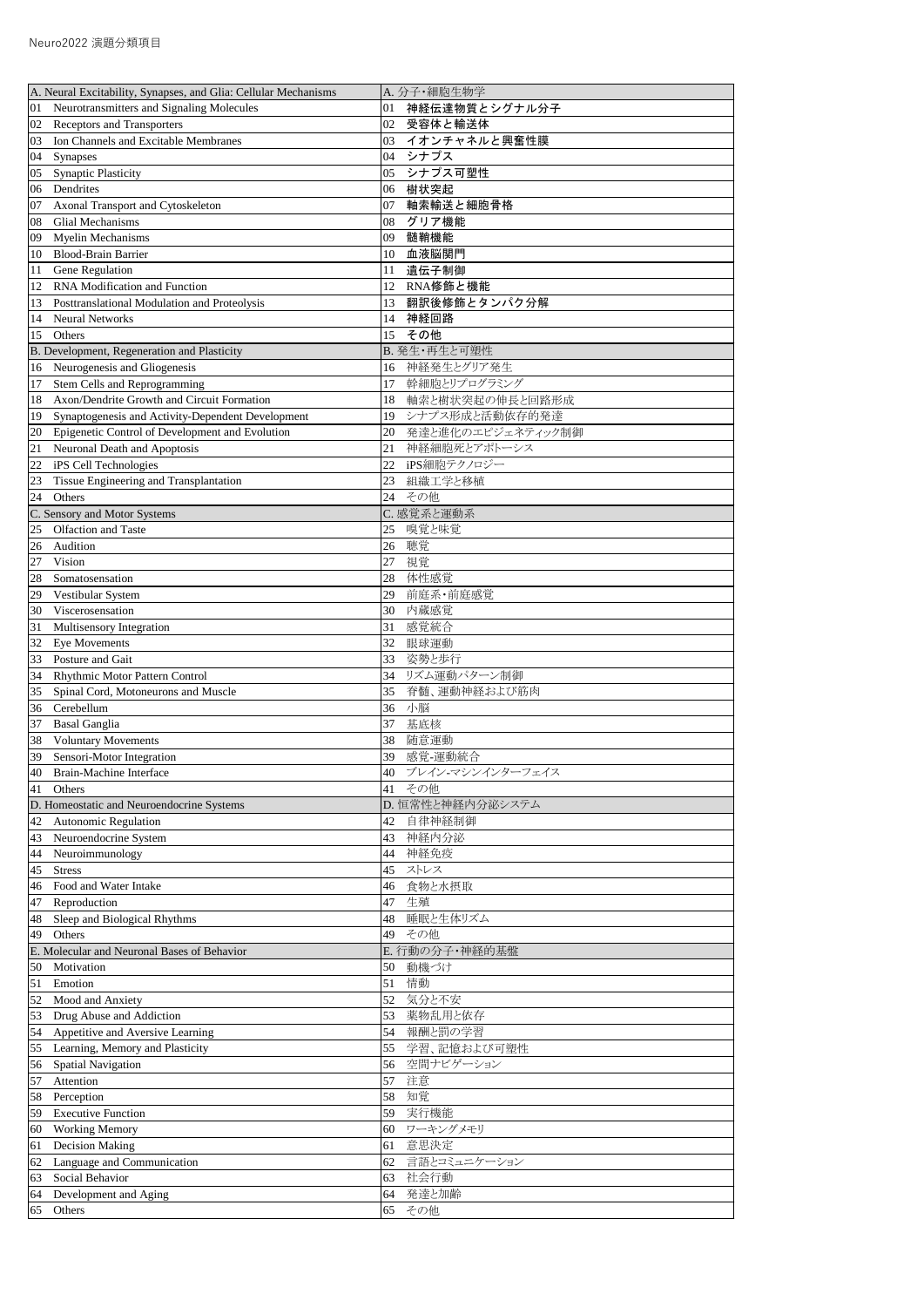| A. Neural Excitability, Synapses, and Glia: Cellular Mechanisms | A. 分子·細胞生物学           |
|-----------------------------------------------------------------|-----------------------|
| Neurotransmitters and Signaling Molecules                       | 神経伝達物質とシグナル分子         |
| 01                                                              | 01                    |
| <b>Receptors and Transporters</b>                               | 受容体と輸送体               |
| 02                                                              | 02                    |
| Ion Channels and Excitable Membranes                            | イオンチャネルと興奮性膜          |
| 03                                                              | 03                    |
| Synapses                                                        | シナプス                  |
| 04                                                              | 04                    |
| <b>Synaptic Plasticity</b>                                      | シナプス可塑性               |
| 05                                                              | 05                    |
| Dendrites                                                       | 樹状突起                  |
| 06                                                              | 06                    |
|                                                                 |                       |
| Axonal Transport and Cytoskeleton                               | 軸索輸送と細胞骨格             |
| 07                                                              | 07                    |
| <b>Glial Mechanisms</b>                                         | グリア機能                 |
| 08                                                              | 08                    |
| Myelin Mechanisms                                               | 髄鞘機能                  |
| 09                                                              | 09                    |
| <b>Blood-Brain Barrier</b>                                      | 血液脳関門                 |
| 10                                                              | 10                    |
| Gene Regulation                                                 | 遺伝子制御                 |
| 11                                                              | 11                    |
| RNA Modification and Function                                   | RNA修飾と機能              |
| 12                                                              | 12                    |
| Posttranslational Modulation and Proteolysis                    | 翻訳後修飾とタンパク分解          |
| 13                                                              | 13                    |
| <b>Neural Networks</b>                                          | 神経回路                  |
| 14                                                              | 14                    |
| Others                                                          | その他                   |
| 15                                                              | 15                    |
| B. Development, Regeneration and Plasticity                     | B. 発生·再生と可塑性          |
| Neurogenesis and Gliogenesis                                    | 神経発生とグリア発生            |
| 16                                                              | 16                    |
| Stem Cells and Reprogramming                                    | 幹細胞とリプログラミング          |
| 17                                                              | 17                    |
| Axon/Dendrite Growth and Circuit Formation                      |                       |
| 18                                                              | 軸索と樹状突起の伸長と回路形成<br>18 |
| Synaptogenesis and Activity-Dependent Development               | シナプス形成と活動依存的発達        |
| 19                                                              | 19                    |
| Epigenetic Control of Development and Evolution                 | 発達と進化のエピジェネティック制御     |
| 20                                                              | 20                    |
| Neuronal Death and Apoptosis                                    | 神経細胞死とアポトーシス          |
| 21                                                              | 21                    |
| iPS Cell Technologies                                           | iPS細胞テクノロジー           |
| 22                                                              | 22                    |
| Tissue Engineering and Transplantation                          | 組織工学と移植               |
| 23                                                              | 23                    |
| Others                                                          | その他                   |
| 24                                                              | 24                    |
| C. Sensory and Motor Systems                                    | C. 感覚系と運動系            |
| Olfaction and Taste                                             | 嗅覚と味覚                 |
| 25                                                              | 25                    |
| Audition                                                        | 聴覚                    |
| 26                                                              | 26                    |
| 27                                                              | 視覚                    |
| Vision                                                          | 27                    |
| 28                                                              | 体性感覚                  |
| Somatosensation                                                 | 28                    |
| Vestibular System                                               | 前庭系·前庭感覚              |
| 29                                                              | 29                    |
|                                                                 |                       |
| Viscerosensation                                                | 内蔵感覚                  |
| 30                                                              | 30                    |
| Multisensory Integration                                        | 感覚統合                  |
| 31                                                              | 31                    |
| <b>Eye Movements</b>                                            | 32                    |
| 32                                                              | 眼球運動                  |
| Posture and Gait                                                | 姿勢と歩行                 |
| 33                                                              | 33                    |
| Rhythmic Motor Pattern Control                                  | リズム運動パターン制御           |
| 34                                                              | 34                    |
| Spinal Cord, Motoneurons and Muscle                             | 脊髄、運動神経および筋肉          |
| 35                                                              | 35                    |
| Cerebellum                                                      | 小脳                    |
| 36                                                              | 36                    |
| <b>Basal Ganglia</b>                                            | 基底核                   |
| 37                                                              | 37                    |
| <b>Voluntary Movements</b>                                      | 随意運動                  |
| 38                                                              | 38                    |
| Sensori-Motor Integration                                       | 感覚-運動統合               |
| 39                                                              | 39                    |
| Brain-Machine Interface                                         | ブレイン-マシンインターフェイス      |
| 40                                                              | 40                    |
| Others                                                          | その他                   |
| 41                                                              | 41                    |
| D. Homeostatic and Neuroendocrine Systems                       | D. 恒常性と神経内分泌システム      |
|                                                                 | 42                    |
| <b>Autonomic Regulation</b><br>42                               | 自律神経制御                |
| Neuroendocrine System                                           | 神経内分泌                 |
| 43                                                              | 43                    |
| Neuroimmunology                                                 | 神経免疫                  |
| 44                                                              | 44                    |
| <b>Stress</b>                                                   | ストレス                  |
| 45                                                              | 45                    |
| Food and Water Intake                                           | 食物と水摂取                |
| 46                                                              | 46                    |
| Reproduction                                                    | 生殖                    |
| 47                                                              | 47                    |
| Sleep and Biological Rhythms                                    | 睡眠と生体リズム              |
| 48                                                              | 48                    |
| Others                                                          | その他                   |
| 49                                                              | 49                    |
| E. Molecular and Neuronal Bases of Behavior                     | E. 行動の分子·神経的基盤        |
| Motivation                                                      | 動機づけ                  |
| 50                                                              | 50                    |
| Emotion                                                         | 情動                    |
| 51                                                              | 51                    |
| 52                                                              | 気分と不安                 |
| Mood and Anxiety                                                | 52                    |
| Drug Abuse and Addiction                                        | 薬物乱用と依存               |
| 53                                                              | 53                    |
| 54                                                              | 報酬と罰の学習               |
| Appetitive and Aversive Learning                                | 54                    |
| Learning, Memory and Plasticity                                 | 学習、記憶および可塑性           |
| 155                                                             | 55                    |
| <b>Spatial Navigation</b>                                       | 空間ナビゲーション             |
| 56                                                              | 56                    |
| Attention                                                       | 57                    |
| 57                                                              | 注意                    |
| Perception                                                      | 知覚                    |
| 58                                                              | 58                    |
| <b>Executive Function</b>                                       | 実行機能                  |
| 59                                                              | 59                    |
| <b>Working Memory</b>                                           | ワーキングメモリ              |
| 60                                                              | 60                    |
| <b>Decision Making</b>                                          | 意思決定                  |
| 61                                                              | 61                    |
| Language and Communication                                      | 言語とコミュニケーション          |
| 62                                                              | 62                    |
| Social Behavior                                                 | 社会行動                  |
| 63                                                              | 63                    |
| Development and Aging                                           | 発達と加齢                 |
| 64                                                              | 64                    |
| Others                                                          | その他                   |
| 65                                                              | 65                    |